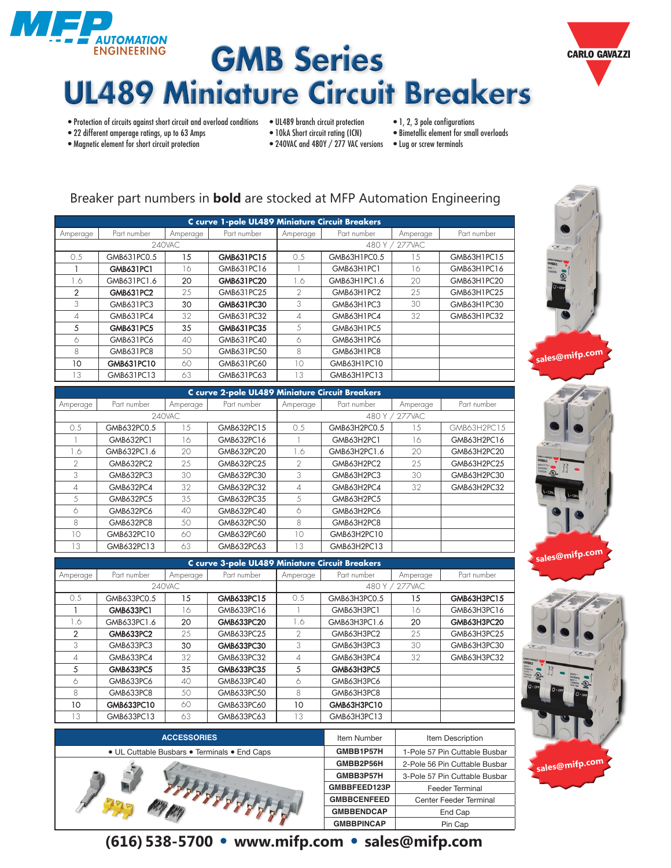





- Protection of circuits against short circuit and overload conditions UL489 branch circuit protection 1, 2, 3 pole configurations<br>• 22 different amperage ratings, up to 63 Amps 10kA Short circuit rating (ICN) Bime
- 22 different amperage ratings, up to 63 Amps 10kA Short circuit rating (ICN)<br>• Magnetic element for short circuit protection 240VAC and 480Y / 277 VAC v
- -
- 240VAC and 480Y / 277 VAC versions Lug or screw terminals

## Breaker part numbers in **bold** are stocked at MFP Automation Engineering

| C curve 1-pole UL489 Miniature Circuit Breakers |                  |          |             |                |              |                |             |  |  |  |
|-------------------------------------------------|------------------|----------|-------------|----------------|--------------|----------------|-------------|--|--|--|
| Amperage                                        | Part number      | Amperage | Part number | Amperage       | Part number  | Amperage       | Part number |  |  |  |
|                                                 |                  | 240VAC   |             |                |              | 480 Y / 277VAC |             |  |  |  |
| 0.5                                             | GMB631PC0.5      | 15       | GMB631PC15  | 0.5            | GMB63H1PC0.5 | 1.5            | GMB63H1PC15 |  |  |  |
|                                                 | GMB631PC1        | 16       | GMB631PC16  |                | GMB63H1PC1   | 16             | GMB63H1PC16 |  |  |  |
| 1.6                                             | GMB631PC1.6      | 20       | GMB631PC20  | 1.6            | GMB63H1PC1.6 | 20             | GMB63H1PC20 |  |  |  |
| 2                                               | <b>GMB631PC2</b> | 25       | GMB631PC25  | $\mathfrak{D}$ | GMB63H1PC2   | 25             | GMB63H1PC25 |  |  |  |
| 3                                               | GMB631PC3        | 30       | GMB631PC30  | 3              | GMB63H1PC3   | 30             | GMB63H1PC30 |  |  |  |
| 4                                               | GMB631PC4        | 32       | GMB631PC32  | $\overline{A}$ | GMB63H1PC4   | 32             | GMB63H1PC32 |  |  |  |
| 5                                               | <b>GMB631PC5</b> | 35       | GMB631PC35  | 5              | GMB63H1PC5   |                |             |  |  |  |
| 6                                               | GMB631PC6        | 40       | GMB631PC40  | 6              | GMB63H1PC6   |                |             |  |  |  |
| 8                                               | GMB631PC8        | 50       | GMB631PC50  | 8              | GMB63H1PC8   |                |             |  |  |  |
| 10                                              | GMB631PC10       | 60       | GMB631PC60  | 10             | GMB63H1PC10  |                |             |  |  |  |
| 13                                              | GMB631PC13       | 63       | GMB631PC63  | 13             | GMB63H1PC13  |                |             |  |  |  |

| C curve 2-pole UL489 Miniature Circuit Breakers |                  |          |             |               |              |                |             |  |  |  |
|-------------------------------------------------|------------------|----------|-------------|---------------|--------------|----------------|-------------|--|--|--|
| Amperage                                        | Part number      | Amperage | Part number | Amperage      | Part number  | Amperage       | Part number |  |  |  |
|                                                 |                  | 240VAC   |             |               |              | 480 Y / 277VAC |             |  |  |  |
| 0.5                                             | GMB632PC0.5      | 1.5      | GMB632PC15  | 0.5           | GMB63H2PC0.5 | 1.5            | GMB63H2PC15 |  |  |  |
|                                                 | GMB632PC1        | 16       | GMB632PC16  |               | GMB63H2PC1   | 16             | GMB63H2PC16 |  |  |  |
| 1.6                                             | GMB632PC1.6      | 20       | GMB632PC20  | - 6           | GMB63H2PC1.6 | 20             | GMB63H2PC20 |  |  |  |
| $\mathcal{P}$                                   | GMB632PC2        | 25       | GMB632PC25  | $\mathcal{P}$ | GMB63H2PC2   | 25             | GMB63H2PC25 |  |  |  |
| 3                                               | <b>GMB632PC3</b> | 30       | GMB632PC30  | 3             | GMB63H2PC3   | 30             | GMB63H2PC30 |  |  |  |
| 4                                               | GMB632PC4        | 32       | GMB632PC32  | 4             | GMB63H2PC4   | 32             | GMB63H2PC32 |  |  |  |
| 5                                               | <b>GMB632PC5</b> | 35       | GMB632PC35  | 5             | GMB63H2PC5   |                |             |  |  |  |
| 6                                               | GMB632PC6        | 40       | GMB632PC40  | 6             | GMB63H2PC6   |                |             |  |  |  |
| 8                                               | GMB632PC8        | 50       | GMB632PC50  | 8             | GMB63H2PC8   |                |             |  |  |  |
| 10                                              | GMB632PC10       | 60       | GMB632PC60  | 10            | GMB63H2PC10  |                |             |  |  |  |
| 13                                              | GMB632PC13       | 63       | GMB632PC63  | 13            | GMB63H2PC13  |                |             |  |  |  |

| <b>C</b> curve 3-pole UL489 Miniature Circuit Breakers |                  |          |             |                |              |          |             |  |  |
|--------------------------------------------------------|------------------|----------|-------------|----------------|--------------|----------|-------------|--|--|
| Amperage                                               | Part number      | Amperage | Part number | Amperage       | Part number  | Amperage | Part number |  |  |
|                                                        |                  | 240VAC   |             | 480 Y / 277VAC |              |          |             |  |  |
| 0.5                                                    | GMB633PC0.5      | 15       | GMB633PC15  | 0.5            | GMB63H3PC0.5 | 15       | GMB63H3PC15 |  |  |
|                                                        | <b>GMB633PC1</b> | 16       | GMB633PC16  |                | GMB63H3PC1   | 16       | GMB63H3PC16 |  |  |
| 1.6                                                    | GMB633PC1.6      | 20       | GMB633PC20  | 1.6            | GMB63H3PC1.6 | 20       | GMB63H3PC20 |  |  |
| $\mathcal{P}$                                          | <b>GMB633PC2</b> | 25       | GMB633PC25  | $\mathcal{D}$  | GMB63H3PC2   | 25       | GMB63H3PC25 |  |  |
| 3                                                      | GMB633PC3        | 30       | GMB633PC30  | 3              | GMB63H3PC3   | 30       | GMB63H3PC30 |  |  |
| 4                                                      | GMB633PC4        | 32       | GMB633PC32  | 4              | GMB63H3PC4   | 32       | GMB63H3PC32 |  |  |
| 5                                                      | <b>GMB633PC5</b> | 35       | GMB633PC35  | 5              | GMB63H3PC5   |          |             |  |  |
| 6                                                      | GMB633PC6        | 40       | GMB633PC40  | 6              | GMB63H3PC6   |          |             |  |  |
| 8                                                      | GMB633PC8        | 50       | GMB633PC50  | 8              | GMB63H3PC8   |          |             |  |  |
| 10                                                     | GMB633PC10       | 60       | GMB633PC60  | 10             | GMB63H3PC10  |          |             |  |  |
| 3                                                      | GMB633PC13       | 63       | GMB633PC63  | 13             | GMB63H3PC13  |          |             |  |  |

| <b>ACCESSORIES</b>                           | Item Number        | Item Description              |
|----------------------------------------------|--------------------|-------------------------------|
| • UL Cuttable Busbars • Terminals • End Caps | GMBB1P57H          | 1-Pole 57 Pin Cuttable Busbar |
|                                              | GMBB2P56H          | 2-Pole 56 Pin Cuttable Busbar |
|                                              | GMBB3P57H          | 3-Pole 57 Pin Cuttable Busbar |
|                                              | GMBBFEED123P       | Feeder Terminal               |
|                                              | <b>GMBBCENFEED</b> | Center Feeder Terminal        |
|                                              | <b>GMBBENDCAP</b>  | End Cap                       |
|                                              | <b>GMBBPINCAP</b>  | Pin Cap                       |





## **(616) 538-5700 • www.mifp.com • sales@mifp.com**